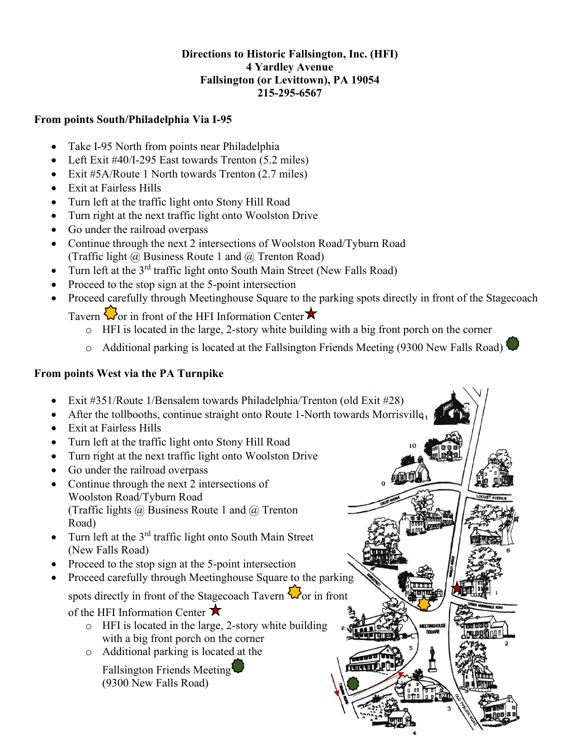### **Directions to Historic Fallsington, Inc. (HFI) 4 Yardley Avenue Fallsington (or Levittown), PA 19054 215-295-6567**

### **From points South/Philadelphia Via I-95**

- Take I-95 North from points near Philadelphia
- Left Exit #40/I-295 East towards Trenton (5.2 miles)
- Exit #5A/Route 1 North towards Trenton (2.7 miles)
- Exit at Fairless Hills
- Turn left at the traffic light onto Stony Hill Road
- Turn right at the next traffic light onto Woolston Drive
- Go under the railroad overpass
- Continue through the next 2 intersections of Woolston Road/Tyburn Road (Traffic light  $\omega$  Business Route 1 and  $\omega$  Trenton Road)
- Turn left at the  $3^{rd}$  traffic light onto South Main Street (New Falls Road)
- Proceed to the stop sign at the 5-point intersection
- Proceed carefully through Meetinghouse Square to the parking spots directly in front of the Stagecoach

Tavern  $\sum$  or in front of the HFI Information Center  $\star$ 

- o HFI is located in the large, 2-story white building with a big front porch on the corner
- $\circ$  Additional parking is located at the Fallsington Friends Meeting (9300 New Falls Road)<sup>1</sup>

 $11111$ **TITLE** 

# **From points West via the PA Turnpike**

- Exit #351/Route 1/Bensalem towards Philadelphia/Trenton (old Exit #28)
- After the tollbooths, continue straight onto Route 1-North towards Morrisville
- Exit at Fairless Hills
- Turn left at the traffic light onto Stony Hill Road
- Turn right at the next traffic light onto Woolston Drive
- Go under the railroad overpass
- Continue through the next 2 intersections of Woolston Road/Tyburn Road (Traffic lights @ Business Route 1 and @ Trenton Road)
- $\bullet$  Turn left at the 3<sup>rd</sup> traffic light onto South Main Street (New Falls Road)
- Proceed to the stop sign at the 5-point intersection
- Proceed carefully through Meetinghouse Square to the parking spots directly in front of the Stagecoach Tavern  $\mathbf{\nabla}$  or in front
	- of the HFI Information Center  $\star$ 
		- o HFI is located in the large, 2-story white building with a big front porch on the corner
		- o Additional parking is located at the
			- Fallsington Friends Meeting (9300 New Falls Road)